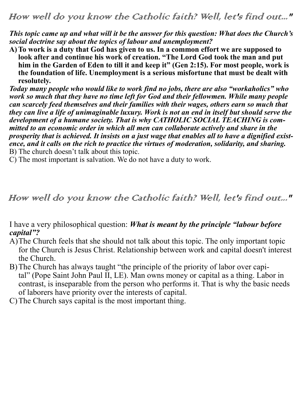How well do you know the Catholic faith? Well, let's find out..."

*This topic came up and what will it be the answer for this question: What does the Church's social doctrine say about the topics of labour and unemployment?*

**A)To work is a duty that God has given to us. In a common effort we are supposed to**  look after and continue his work of creation. "The Lord God took the man and put **him in the Garden of Eden to till it and keep it" (Gen 2:15). For most people, work is the foundation of life. Unemployment is a serious misfortune that must be dealt with resolutely.**

*Today many people who would like to work find no jobs, there are also "workaholics" who work so much that they have no time left for God and their fellowmen. While many people can scarcely feed themselves and their families with their wages, others earn so much that they can live a life of unimaginable luxury. Work is not an end in itself but should serve the development of a humane society. That is why CATHOLIC SOCIAL TEACHING is committed to an economic order in which all men can collaborate actively and share in the prosperity that is achieved. It insists on a just wage that enables all to have a dignified existence, and it calls on the rich to practice the virtues of moderation, solidarity, and sharing.*  B) The church doesn't talk about this topic.

C) The most important is salvation. We do not have a duty to work.

How well do you know the Catholic faith? Well, let's find out..."

I have a very philosophical question: *What is meant by the principle "labour before capital"?* 

- A)The Church feels that she should not talk about this topic. The only important topic for the Church is Jesus Christ. Relationship between work and capital doesn't interest the Church.
- B)The Church has always taught "the principle of the priority of labor over capital" (Pope Saint John Paul II, LE). Man owns money or capital as a thing. Labor in contrast, is inseparable from the person who performs it. That is why the basic needs of laborers have priority over the interests of capital.
- C)The Church says capital is the most important thing.